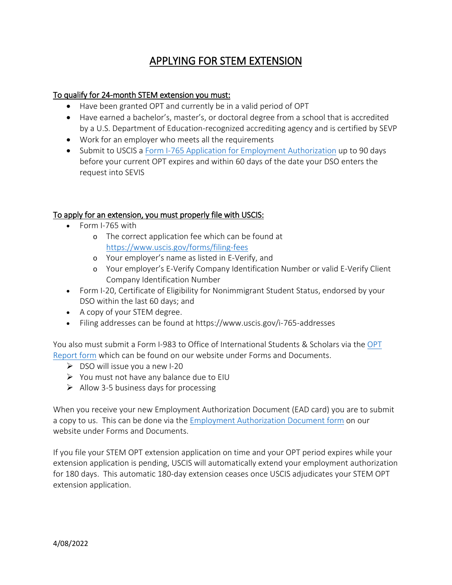## APPLYING FOR STEM EXTENSION

## To qualify for 24-month STEM extension you must:

- Have been granted OPT and currently be in a valid period of OPT
- Have earned a bachelor's, master's, or doctoral degree from a school that is accredited by a U.S. Department of Education-recognized accrediting agency and is certified by SEVP
- Work for an employer who meets all the requirements
- Submit to USCIS a [Form I-765 Application for Employment Authorization](https://www.uscis.gov/i-765) up to 90 days before your current OPT expires and within 60 days of the date your DSO enters the request into SEVIS

## To apply for an extension, you must properly file with USCIS:

- Form I-765 with
	- o The correct application fee which can be found at <https://www.uscis.gov/forms/filing-fees>
	- o Your employer's name as listed in E-Verify, and
	- o Your employer's E-Verify Company Identification Number or valid E-Verify Client Company Identification Number
- Form I-20, Certificate of Eligibility for Nonimmigrant Student Status, endorsed by your DSO within the last 60 days; and
- A copy of your STEM degree.
- Filing addresses can be found at https://www.uscis.gov/i-765-addresses

You also must submit a Form I-983 to Office of International Students & Scholars via th[e OPT](https://www.eiu.edu/international/machform/view.php?id=7)  [Report form](https://www.eiu.edu/international/machform/view.php?id=7) which can be found on our website under Forms and Documents.

- $\triangleright$  DSO will issue you a new I-20
- $\triangleright$  You must not have any balance due to EIU
- $\triangleright$  Allow 3-5 business days for processing

When you receive your new Employment Authorization Document (EAD card) you are to submit a copy to us. This can be done via the [Employment Authorization Document form](https://www.eiu.edu/international/machform/view.php?id=40163) on our website under Forms and Documents.

If you file your STEM OPT extension application on time and your OPT period expires while your extension application is pending, USCIS will automatically extend your employment authorization for 180 days. This automatic 180-day extension ceases once USCIS adjudicates your STEM OPT extension application.